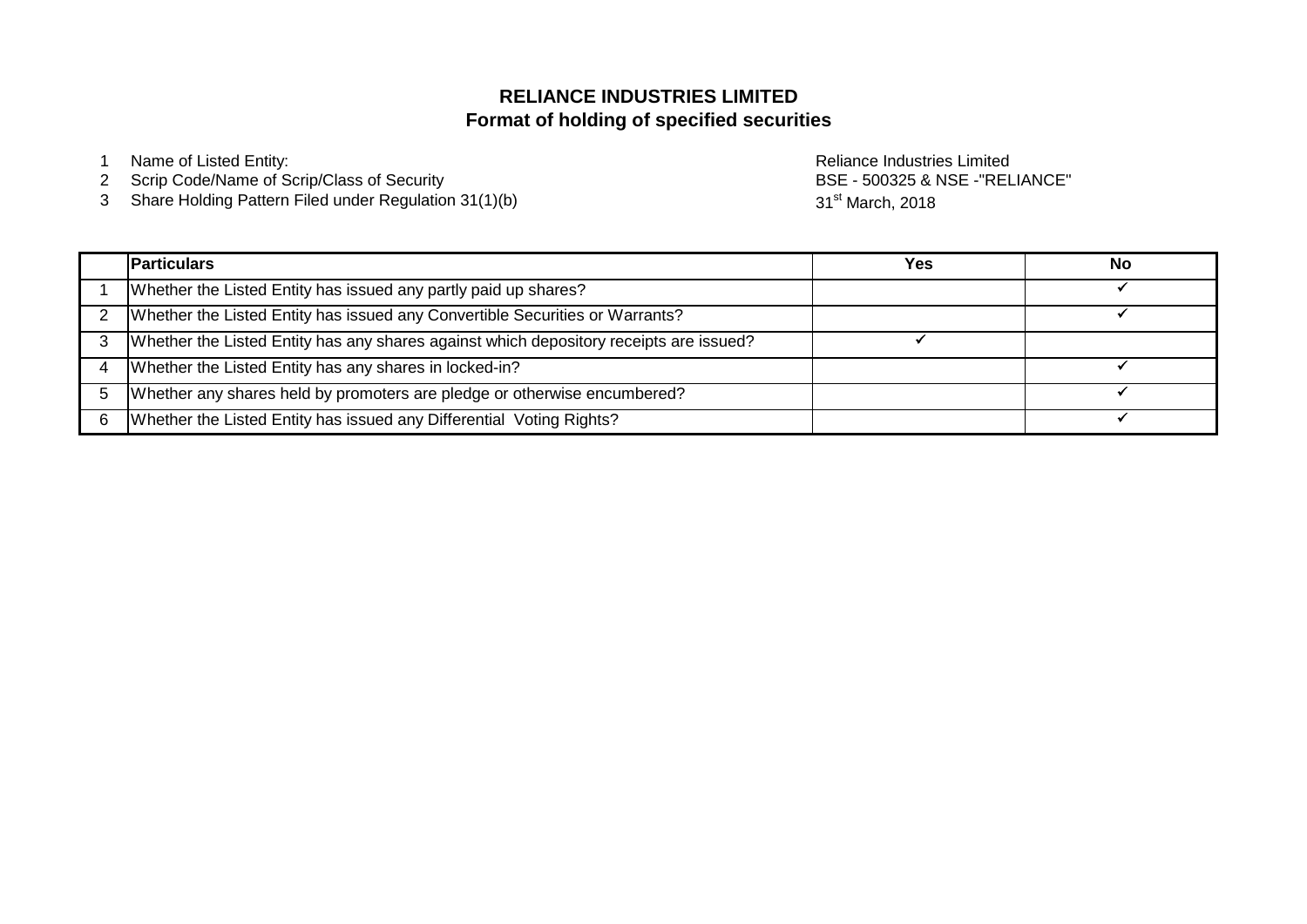# **Format of holding of specified securities RELIANCE INDUSTRIES LIMITED**

1 Name of Listed Entity: **Name of Listed Entity:** And The Control of Listed Entity: **Reliance Industries Limited** 

- 2 Scrip Code/Name of Scrip/Class of Security
- 3 Share Holding Pattern Filed under Regulation 31(1)(b)

BSE - 500325 & NSE -"RELIANCE" 31<sup>st</sup> March, 2018

|   | <b>Particulars</b>                                                                     | Yes | No |
|---|----------------------------------------------------------------------------------------|-----|----|
|   | Whether the Listed Entity has issued any partly paid up shares?                        |     |    |
|   | Whether the Listed Entity has issued any Convertible Securities or Warrants?           |     |    |
|   | Whether the Listed Entity has any shares against which depository receipts are issued? |     |    |
|   | Whether the Listed Entity has any shares in locked-in?                                 |     |    |
|   | Whether any shares held by promoters are pledge or otherwise encumbered?               |     |    |
| 6 | Whether the Listed Entity has issued any Differential Voting Rights?                   |     |    |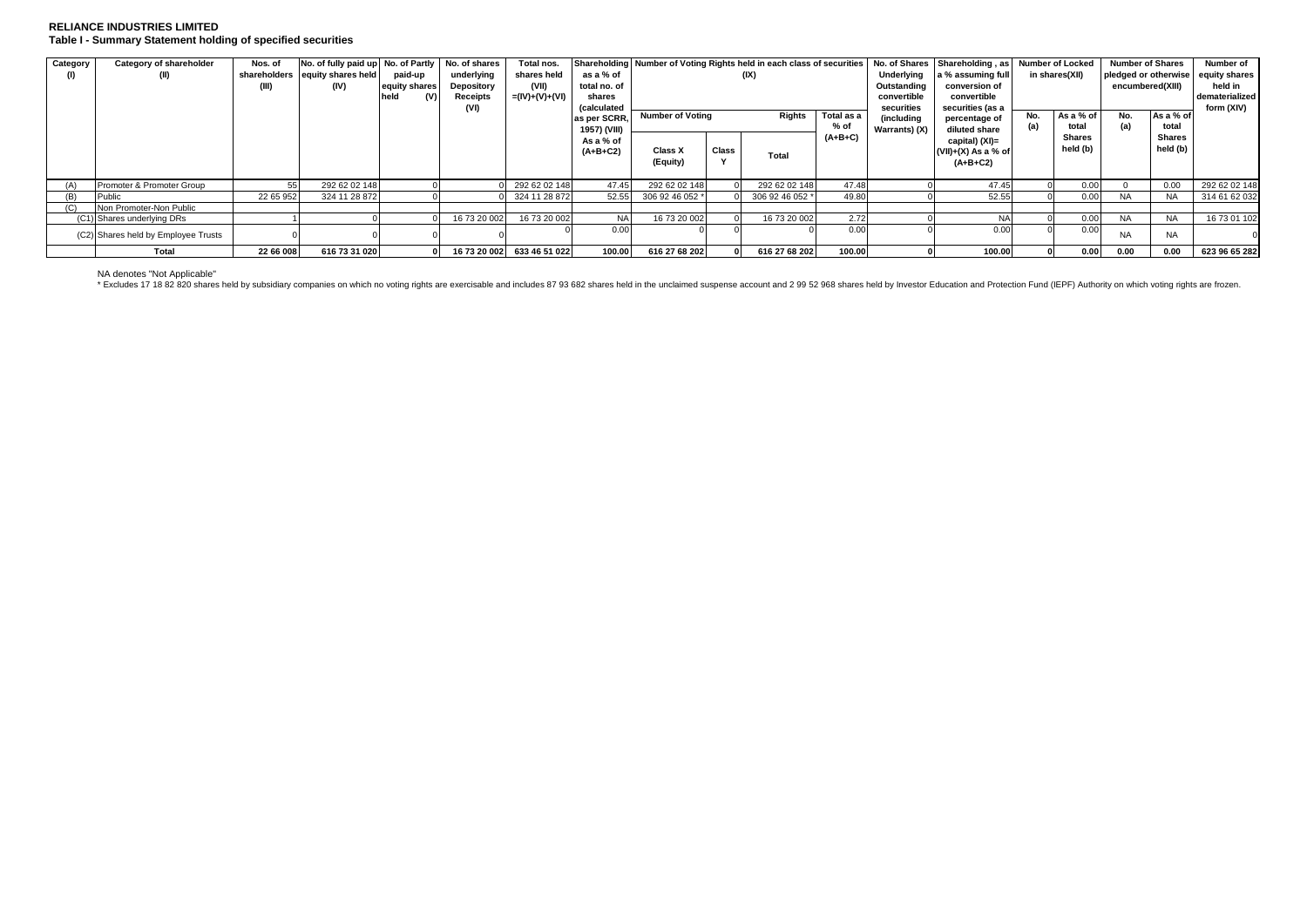## **RELIANCE INDUSTRIES LIMITED Table I - Summary Statement holding of specified securities**

| Category | Category of shareholder             | Nos. of   | No. of fully paid up No. of Partly |               | No. of shares | Total nos.                 |                    | Shareholding Number of Voting Rights held in each class of securities No. of Shares Shareholding, as Number of Locked |       |                 |             |                  |                       |       |                    | <b>Number of Shares</b> |                 | Number of     |
|----------|-------------------------------------|-----------|------------------------------------|---------------|---------------|----------------------------|--------------------|-----------------------------------------------------------------------------------------------------------------------|-------|-----------------|-------------|------------------|-----------------------|-------|--------------------|-------------------------|-----------------|---------------|
|          | (II)                                |           | shareholders equity shares held    | paid-up       | underlying    | shares held                | as a % of          |                                                                                                                       |       | (IX)            |             | Underlying       | a % assuming full     |       | in shares(XII)     | pledged or otherwise    |                 | equity shares |
|          |                                     | (III)     | (IV)                               | equity shares | Depository    | (VII)                      | total no. of       |                                                                                                                       |       |                 |             | Outstanding      | conversion of         |       |                    | encumbered(XIII)        |                 | held in       |
|          |                                     |           |                                    | held<br>(V)   | Receipts      | =(IV)+(V)+(VI)             | shares             |                                                                                                                       |       |                 | convertible | convertible      |                       |       |                    |                         | dematerialized  |               |
|          |                                     |           |                                    |               | (VI)          |                            | <i>(calculated</i> |                                                                                                                       |       |                 | securities  | securities (as a |                       |       |                    |                         | form (XIV)      |               |
|          |                                     |           |                                    |               |               |                            | as per SCRR.       | Total as a<br><b>Number of Voting</b><br><b>Rights</b>                                                                |       |                 |             | (including       | percentage of         | No.   | As a % of          | No.                     | As a % of       |               |
|          |                                     |           |                                    |               |               |                            | 1957) (VIII)       |                                                                                                                       |       |                 | % of        | Warrants) (X)    | diluted share         | total |                    | (a)                     | total<br>Shares |               |
|          |                                     |           |                                    |               |               |                            | As a % of          |                                                                                                                       |       |                 | $(A+B+C)$   |                  | capital) (XI)=        |       | Shares<br>held (b) |                         |                 |               |
|          |                                     |           |                                    |               |               |                            | $(A+B+C2)$         | Class X                                                                                                               | Class | Total           |             |                  | $(VII)+(X)$ As a % of |       |                    |                         | held (b)        |               |
|          |                                     |           |                                    |               |               |                            |                    | (Equity)                                                                                                              |       |                 |             |                  | $(A+B+C2)$            |       |                    |                         |                 |               |
|          |                                     |           |                                    |               |               |                            |                    |                                                                                                                       |       |                 |             |                  |                       |       |                    |                         |                 |               |
|          | Promoter & Promoter Group           |           | 292 62 02 148                      |               |               | 292 62 02 148              | 47.45              | 292 62 02 148                                                                                                         |       | 292 62 02 148   | 47.48       |                  | 47.45                 |       | 0.00               |                         | 0.00            | 292 62 02 148 |
|          | Public                              | 22 65 952 | 324 11 28 872                      |               |               | 324 11 28 872              | 52.55              | 306 92 46 052 *                                                                                                       |       | 306 92 46 052 * | 49.80       |                  | 52.55                 |       | 0.00               | <b>NA</b>               | <b>NA</b>       | 314 61 62 032 |
|          | Non Promoter-Non Public             |           |                                    |               |               |                            |                    |                                                                                                                       |       |                 |             |                  |                       |       |                    |                         |                 |               |
|          | (C1) Shares underlying DRs          |           |                                    |               | 16 73 20 002  | 16 73 20 002               | <b>NA</b>          | 16 73 20 002                                                                                                          |       | 16 73 20 002    | 2.72        |                  |                       |       | 0.00               | <b>NA</b>               | <b>NA</b>       | 16 73 01 102  |
|          | (C2) Shares held by Employee Trusts |           |                                    |               |               |                            | 0.00               |                                                                                                                       |       |                 | 0.00        |                  |                       |       | 0.00               | <b>NA</b>               | <b>NA</b>       |               |
|          | Total                               | 22 66 008 | 616 73 31 020                      |               |               | 16 73 20 002 633 46 51 022 | 100.00             | 616 27 68 202                                                                                                         |       | 616 27 68 202   | 100.00      |                  | 100.00                |       | 0.00               | 0.00                    | 0.00            | 623 96 65 282 |

NA denotes "Not Applicable"<br>\* Excludes 17 18 82 820 shares held by subsidiary companies on which no voting rights are exercisable and includes 87 93 682 shares held in the unclaimed suspense account and 2 99 52 968 shares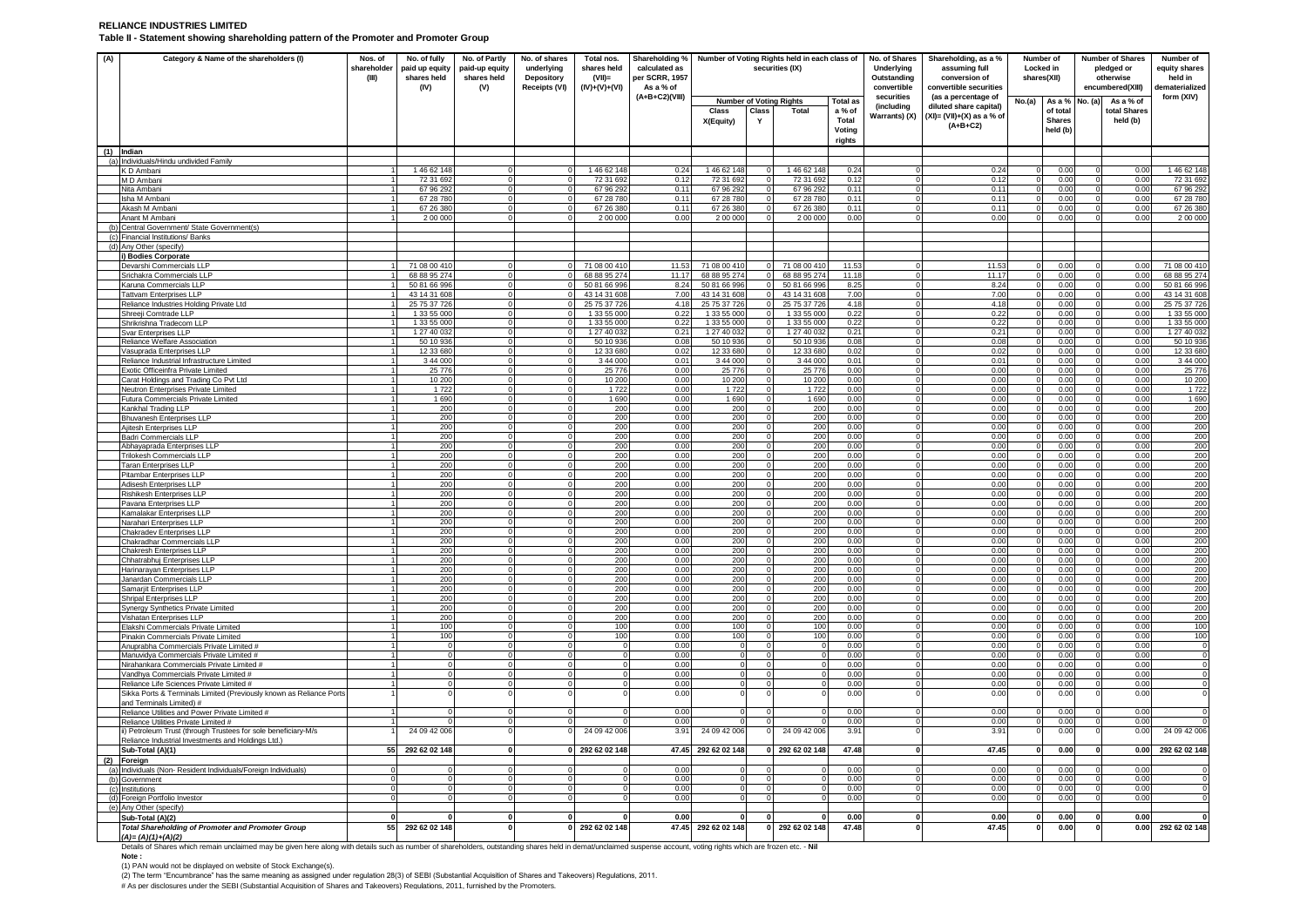## **RELIANCE INDUSTRIES LIMITED**

**Table II - Statement showing shareholding pattern of the Promoter and Promoter Group**

| (A) | Category & Name of the shareholders (I)                                                                                                                                                                                                     | Nos. of<br>shareholder<br>(III) | No. of fully<br>paid up equity<br>shares held<br>(IV) | No. of Partly<br>paid-up equity<br>shares held<br>(V) | No. of shares<br>underlying<br><b>Depository</b><br>Receipts (VI) | Total nos.<br>shares held<br>$(VII)$ =<br>$(IV)+(V)+(V)$ | Shareholding %<br>calculated as<br>per SCRR, 1957<br>As a % of |                             |          | Number of Voting Rights held in each class of<br>securities (IX) |                 | No. of Shares<br>Underlying<br>Outstanding<br>convertible | Shareholding, as a %<br>assuming full<br>conversion of<br>convertible securities | Locked in<br>shares(XII) | Number of                 |              | <b>Number of Shares</b><br>pledged or<br>otherwise<br>encumbered(XIII) | Number of<br>equity shares<br>held in<br>dematerialized |  |
|-----|---------------------------------------------------------------------------------------------------------------------------------------------------------------------------------------------------------------------------------------------|---------------------------------|-------------------------------------------------------|-------------------------------------------------------|-------------------------------------------------------------------|----------------------------------------------------------|----------------------------------------------------------------|-----------------------------|----------|------------------------------------------------------------------|-----------------|-----------------------------------------------------------|----------------------------------------------------------------------------------|--------------------------|---------------------------|--------------|------------------------------------------------------------------------|---------------------------------------------------------|--|
|     |                                                                                                                                                                                                                                             |                                 |                                                       |                                                       |                                                                   |                                                          | (A+B+C2)(VIII)                                                 |                             |          | <b>Number of Voting Rights</b>                                   | <b>Total as</b> | securities                                                | (as a percentage of                                                              | No.(a)                   | As a %                    | No. (a)      | As a % of                                                              | form (XIV)                                              |  |
|     |                                                                                                                                                                                                                                             |                                 |                                                       |                                                       |                                                                   |                                                          |                                                                | Class                       | Class    | <b>Total</b>                                                     | a % of          | (including<br>Warrants) (X)                               | diluted share capital)<br>$(XI) = (VII)+(X)$ as a % of                           |                          | of total                  |              | total Shares                                                           |                                                         |  |
|     |                                                                                                                                                                                                                                             |                                 |                                                       |                                                       |                                                                   |                                                          |                                                                | X(Equity)                   | Y        |                                                                  | Total<br>Voting |                                                           | $(A+B+C2)$                                                                       |                          | <b>Shares</b><br>held (b) |              | held (b)                                                               |                                                         |  |
|     |                                                                                                                                                                                                                                             |                                 |                                                       |                                                       |                                                                   |                                                          |                                                                |                             |          |                                                                  | rights          |                                                           |                                                                                  |                          |                           |              |                                                                        |                                                         |  |
|     | $(1)$ Indian<br>(a) Individuals/Hindu undivided Family                                                                                                                                                                                      |                                 |                                                       |                                                       |                                                                   |                                                          |                                                                |                             |          |                                                                  |                 |                                                           |                                                                                  |                          |                           |              |                                                                        |                                                         |  |
|     | K D Ambani                                                                                                                                                                                                                                  |                                 | 146 62 148                                            |                                                       |                                                                   | 1 46 62 148                                              | 0.24                                                           | 146 62 148                  |          | 1 46 62 148                                                      | 0.24            |                                                           | 0.24                                                                             |                          | 0.00                      |              | 0.00                                                                   | 146 62 148                                              |  |
|     | M D Ambani                                                                                                                                                                                                                                  |                                 | 72 31 692                                             | $\Omega$                                              |                                                                   | 72 31 692                                                | 0.12                                                           | 72 31 692                   |          | 72 31 692                                                        | 0.12            |                                                           | 0.12                                                                             | $\Omega$                 | 0.00                      |              | 0.00                                                                   | 72 31 692                                               |  |
|     | Nita Ambani                                                                                                                                                                                                                                 |                                 | 67 96 292                                             |                                                       |                                                                   | 67 96 292                                                | 0.11                                                           | 67 96 292                   |          | 67 96 29                                                         | 0.11            |                                                           | 0.11                                                                             | $\Omega$                 | 0.00                      |              | 0.00                                                                   | 67 96 292                                               |  |
|     | Isha M Ambani<br>Akash M Amban                                                                                                                                                                                                              |                                 | 67 28 780<br>67 26 38                                 | $\Omega$                                              |                                                                   | 67 28 780<br>67 26 38                                    | 0.11<br>0.11                                                   | 67 28 780<br>67 26 38       |          | 67 28 780<br>67 26 38                                            | 0.11<br>0.11    |                                                           | 0.11<br>0.11                                                                     | $\Omega$                 | 0.00<br>0.00              |              | 0.00<br>0.00                                                           | 67 28 780<br>67 26 380                                  |  |
|     | Anant M Ambani                                                                                                                                                                                                                              |                                 | 2.00.00                                               | $\Omega$                                              |                                                                   | 2 00 000                                                 | 0 <sup>0<sup>c</sup></sup>                                     | 2 00 00                     |          | 2.00.00                                                          | 0.00            |                                                           | 0.00                                                                             | $\Omega$                 | 0.00                      | $\Omega$     | 0.00                                                                   | 2.00.000                                                |  |
| (b) | Central Government/ State Government(s)                                                                                                                                                                                                     |                                 |                                                       |                                                       |                                                                   |                                                          |                                                                |                             |          |                                                                  |                 |                                                           |                                                                                  |                          |                           |              |                                                                        |                                                         |  |
|     | (c) Financial Institutions/ Banks                                                                                                                                                                                                           |                                 |                                                       |                                                       |                                                                   |                                                          |                                                                |                             |          |                                                                  |                 |                                                           |                                                                                  |                          |                           |              |                                                                        |                                                         |  |
|     | (d) Any Other (specify)                                                                                                                                                                                                                     |                                 |                                                       |                                                       |                                                                   |                                                          |                                                                |                             |          |                                                                  |                 |                                                           |                                                                                  |                          |                           |              |                                                                        |                                                         |  |
|     | i) Bodies Corporate<br>Devarshi Commercials LLP                                                                                                                                                                                             |                                 | 71 08 00 41                                           |                                                       |                                                                   | 71 08 00 410                                             | 11.53                                                          | 71 08 00 41                 |          | 71 08 00 41                                                      | 11.5            |                                                           | 115                                                                              | $\Omega$                 | 0.00                      |              | 0.00                                                                   | 71 08 00 410                                            |  |
|     | Srichakra Commercials LLP                                                                                                                                                                                                                   |                                 | 68 88 95 274                                          |                                                       |                                                                   | 68 88 95 274                                             | 11.17                                                          | 68 88 95 274                |          | 68 88 95 27                                                      | 11.18           |                                                           | 11.17                                                                            |                          | 0.00                      |              | 0.00                                                                   | 68 88 95 27                                             |  |
|     | Karuna Commercials LLP                                                                                                                                                                                                                      |                                 | 50 81 66 996                                          | $\Omega$                                              |                                                                   | 50 81 66 996                                             | 8.24                                                           | 50 81 66 996                |          | 50 81 66 99                                                      | 8.25            |                                                           | 8.24                                                                             | $\Omega$                 | 0.00                      | $\Omega$     | 0.00                                                                   | 50 81 66 996                                            |  |
|     | <b>Tattvam Enterprises LLP</b>                                                                                                                                                                                                              |                                 | 43 14 31 608                                          |                                                       |                                                                   | 43 14 31 608                                             | 7.00                                                           | 43 14 31 608                |          | 43 14 31 60                                                      | 7.00            |                                                           | 7.00                                                                             |                          | 0.00                      |              | 0.00                                                                   | 43 14 31 608                                            |  |
|     | Reliance Industries Holding Private Ltd<br>Shreeii Comtrade LLP                                                                                                                                                                             |                                 | 25 75 37 726<br>1 33 55 000                           |                                                       |                                                                   | 25 75 37 726<br>1 33 55 000                              | 4.18<br>0.22                                                   | 25 75 37 726<br>1 33 55 000 |          | 25 75 37 72<br>1 33 55 00                                        | 4.18<br>0.22    |                                                           | 4.18<br>0.22                                                                     | $\Omega$                 | 0.00<br>0.00              |              | 0.00<br>0.00                                                           | 25 75 37 72<br>1 33 55 00                               |  |
|     | Shrikrishna Tradecom LLP                                                                                                                                                                                                                    |                                 | 1 33 55 000                                           |                                                       |                                                                   | 1 33 55 000                                              | 0.22                                                           | 1 33 55 000                 |          | 1 33 55 00                                                       | 0.22            |                                                           | 0.22                                                                             | $\Omega$                 | 0.00                      |              | 0.00                                                                   | 1 33 55 000                                             |  |
|     | Svar Enterorises LLP                                                                                                                                                                                                                        |                                 | 1 27 40 03:                                           |                                                       |                                                                   | 1 27 40 032                                              | 0.21                                                           | 1 27 40 03:                 |          | 1 27 40 03                                                       | 0.21            |                                                           | 0.21                                                                             | $\Omega$                 | 0.00                      |              | 0.00                                                                   | 1 27 40 03                                              |  |
|     | Reliance Welfare Association                                                                                                                                                                                                                |                                 | 50 10 936                                             |                                                       |                                                                   | 50 10 936                                                | 0.08                                                           | 50 10 936                   |          | 50 10 93                                                         | 0.08            |                                                           | 0.08                                                                             |                          | 0.00                      |              | 0.00                                                                   | 50 10 93                                                |  |
|     | Vasuprada Enterprises LLP                                                                                                                                                                                                                   |                                 | 12.33.680                                             | $\Omega$                                              |                                                                   | 12 33 680                                                | 002                                                            | 12.33.680                   |          | 12.33.680                                                        | 002             |                                                           | 002                                                                              | $\Omega$                 | 0.00                      | $\Omega$     | 0.00                                                                   | 12 33 680                                               |  |
|     | Reliance Industrial Infrastructure Limited                                                                                                                                                                                                  |                                 | 3 44 000<br>25 776                                    | $\Omega$<br>$\Omega$                                  |                                                                   | 3 44 000<br>25 7 7 6                                     | 0.01<br>0.00                                                   | 3 44 00<br>25 776           |          | 3 44 00<br>25 77                                                 | 0.01<br>0.00    |                                                           | 0.01<br>0.00                                                                     | $\mathbf 0$<br>$\Omega$  | 0.00<br>0.00              | $\Omega$     | 0.00<br>0.00                                                           | 3 44 000<br>25 7 7 6                                    |  |
|     | Exotic Officeinfra Private Limited<br>Carat Holdings and Trading Co Pvt Ltd                                                                                                                                                                 |                                 | 10 20                                                 |                                                       |                                                                   | 10 200                                                   | 0.00                                                           | 10 20                       |          | 10 20                                                            | 0.00            |                                                           | 0.00                                                                             |                          | 0.00                      |              | 0.00                                                                   | 10 200                                                  |  |
|     | Neutron Enterprises Private Limited                                                                                                                                                                                                         |                                 | 1 7 2 2                                               | $\Omega$                                              |                                                                   | 1 7 2 2                                                  | 0.00                                                           | 1 722                       |          | 1 72                                                             | 0.00            |                                                           | 0.00                                                                             |                          | 0.00                      | $\Omega$     | 0.00                                                                   | 172                                                     |  |
|     | Futura Commercials Private Limited                                                                                                                                                                                                          |                                 | 1 6 9 0                                               |                                                       |                                                                   | 1 690                                                    | 0.00                                                           | 1690                        |          | 1 690                                                            | 0.00            |                                                           | 0.00                                                                             |                          | 0.00                      |              | 0.00                                                                   | 1690                                                    |  |
|     | Kankhal Trading LLP                                                                                                                                                                                                                         |                                 | 200                                                   |                                                       |                                                                   | 200                                                      | 0.00                                                           | 200                         |          | 200                                                              | 0.00            |                                                           | 0.00                                                                             | $\Omega$                 | 0.00                      |              | 0.00                                                                   | 200                                                     |  |
|     | <b>Bhuvanesh Enterprises LLP</b>                                                                                                                                                                                                            |                                 | 200<br>200                                            |                                                       |                                                                   | 200<br>200                                               | 0.00<br>0.00                                                   | 200<br>200                  |          | 200<br>200                                                       | 0.00<br>0.00    |                                                           | 0.00<br>0.00                                                                     |                          | 0.00<br>0.00              |              | 0.00<br>0.00                                                           | 200<br>200                                              |  |
|     | Ajitesh Enterprises LLP<br><b>Badri Commercials LLP</b>                                                                                                                                                                                     |                                 | 200                                                   | $\Omega$                                              |                                                                   | 200                                                      | 0.00                                                           | 200                         |          | 200                                                              | 0.00            |                                                           | 0.00                                                                             | $\Omega$                 | 0.00                      | $\Omega$     | 0.00                                                                   | 200                                                     |  |
|     | Abhayaprada Enterprises LLP                                                                                                                                                                                                                 |                                 | 200                                                   | $\Omega$                                              |                                                                   | 200                                                      | 0.00                                                           | 200                         |          | 200                                                              | 0.00            |                                                           | 0.00                                                                             | $\mathbf{O}$             | 0.00                      | $\Omega$     | 0.00                                                                   | 200                                                     |  |
|     | Trilokesh Commercials LLP                                                                                                                                                                                                                   |                                 | 200                                                   | $\Omega$                                              |                                                                   | 200                                                      | 0.00                                                           | 200                         | $\Omega$ | 200                                                              | 0.00            | $\Omega$                                                  | 0.00                                                                             | $\Omega$                 | 0.00                      | $\Omega$     | 0.00                                                                   | 200                                                     |  |
|     | Taran Enterprises LLP                                                                                                                                                                                                                       |                                 | 200                                                   |                                                       |                                                                   | 200                                                      | 0.00<br>0.00                                                   | 200                         |          | 200                                                              | 0.00            |                                                           | 0.00                                                                             |                          | 0.00                      | $\Omega$     | 0.00                                                                   | 200                                                     |  |
|     | Pitambar Enterprises LLP<br>Adisesh Enterprises LLP                                                                                                                                                                                         |                                 | 200<br>200                                            | $\Omega$                                              |                                                                   | 200<br>200                                               | 0.00                                                           | 200<br>200                  |          | 200<br>200                                                       | 0.00<br>0.00    |                                                           | 0.00<br>0.00                                                                     | $\Omega$                 | 0.00<br>0.00              |              | 0.00<br>0.00                                                           | 200<br>200                                              |  |
|     | Rishikesh Enterprises LLP                                                                                                                                                                                                                   |                                 | 200                                                   | $\Omega$                                              |                                                                   | 200                                                      | 0.00                                                           | 200                         |          | 200                                                              | 0.00            |                                                           | 0.00                                                                             | $\Omega$                 | 0.00                      | $\Omega$     | 0.00                                                                   | 200                                                     |  |
|     | Pavana Enterprises LLP                                                                                                                                                                                                                      |                                 | 200                                                   |                                                       |                                                                   | 200                                                      | 0.00                                                           | 200                         |          | 200                                                              | 0.00            |                                                           | 0.00                                                                             |                          | 0.00                      |              | 0.00                                                                   | 200                                                     |  |
|     | Kamalakar Enterprises LLF                                                                                                                                                                                                                   |                                 | 200                                                   | $\Omega$                                              |                                                                   | 200                                                      | 0.00                                                           | 200                         |          | 200                                                              | 0.00            |                                                           | 0.00                                                                             | $\Omega$                 | 0.00                      |              | 0.00                                                                   | 200                                                     |  |
|     | Narahari Enterprises LLP                                                                                                                                                                                                                    |                                 | 200<br>200                                            | $\Omega$<br>$\Omega$                                  |                                                                   | 200<br>200                                               | 0.00<br>0.00                                                   | 200<br>200                  |          | 200<br>200                                                       | 0.00<br>0.00    |                                                           | 0.00<br>0.00                                                                     | $\Omega$<br>$\Omega$     | 0.00<br>0.00              | $\Omega$     | 0.00<br>0.00                                                           | 200<br>200                                              |  |
|     | <b>Chakradev Enterprises LLP</b><br>Chakradhar Commercials LLP                                                                                                                                                                              |                                 | 200                                                   | $\Omega$                                              |                                                                   | 200                                                      | 0.00                                                           | 200                         |          | 200                                                              | 0.00            | $\Omega$                                                  | 0.00                                                                             | $\Omega$                 | 0.00                      | $\Omega$     | 0.00                                                                   | 200                                                     |  |
|     | Chakresh Enterprises LLP                                                                                                                                                                                                                    |                                 | 200                                                   |                                                       |                                                                   | 200                                                      | 0.00                                                           | 200                         |          | 200                                                              | 0.00            |                                                           | 0.00                                                                             |                          | 0.00                      |              | 0.00                                                                   | 200                                                     |  |
|     | Chhatrabhuj Enterprises LLF                                                                                                                                                                                                                 |                                 | 200                                                   | $\Omega$                                              | $\Omega$                                                          | 200                                                      | 0 <sup>0<sup>c</sup></sup>                                     | 200                         |          | 200                                                              | 0.00            | $\Omega$                                                  | 0.00                                                                             | $\Omega$                 | 0.00                      | $\Omega$     | 0.00                                                                   | 200                                                     |  |
|     | Harinarayan Enterprises LLP                                                                                                                                                                                                                 |                                 | 200                                                   | $\mathbf 0$                                           |                                                                   | 200                                                      | 0.00                                                           | 200                         |          | 200                                                              | 0.00            |                                                           | 0.00                                                                             | $\mathbf 0$              | 0.00                      | $\mathbf 0$  | 0.00                                                                   | 200                                                     |  |
|     | Janardan Commercials LLP<br>Samarjit Enterprises LLP                                                                                                                                                                                        |                                 | 200<br>200                                            | $\Omega$                                              |                                                                   | 200<br>200                                               | 0.00<br>0.00                                                   | 200<br>200                  |          | 200<br>200                                                       | 0.00<br>0.00    |                                                           | 0.00<br>0.00                                                                     | $\Omega$                 | 0.00<br>0.00              | $\Omega$     | 0.00<br>0.00                                                           | 200<br>200                                              |  |
|     | Shripal Enterprises LLP                                                                                                                                                                                                                     |                                 | 200                                                   |                                                       |                                                                   | 200                                                      | 0.00                                                           | 200                         |          | 200                                                              | 0.00            |                                                           | 0.00                                                                             | $\Omega$                 | 0.00                      |              | 0.0(                                                                   | 200                                                     |  |
|     | Synergy Synthetics Private Limited                                                                                                                                                                                                          |                                 | 200                                                   |                                                       |                                                                   | 200                                                      | 0.00                                                           | 200                         |          | 200                                                              | 0.00            |                                                           | 0.00                                                                             | $\Omega$                 | 0.00                      |              | 0.00                                                                   | 200                                                     |  |
|     | Vishatan Enterprises LLP                                                                                                                                                                                                                    |                                 | 200                                                   |                                                       |                                                                   | 200                                                      | 0.00                                                           | 200                         |          | 200                                                              | 0.00            |                                                           | 0.00                                                                             | $\Omega$                 | 0.00                      |              | 0.00                                                                   | 200                                                     |  |
|     | Elakshi Commercials Private Limited                                                                                                                                                                                                         |                                 | 100                                                   |                                                       |                                                                   | 100                                                      | 0.00                                                           | 100                         |          | 100                                                              | 0.00            |                                                           | 0.00                                                                             | $^{\circ}$               | 0.00                      | $\Omega$     | 0.00                                                                   | 100                                                     |  |
|     | Pinakin Commercials Private Limited<br>Anuprabha Commercials Private Limited #                                                                                                                                                              |                                 | 100                                                   | $\Omega$                                              |                                                                   | 100<br>$\Omega$                                          | 0.00<br>0.00                                                   | 100<br>$\Omega$             | $\Omega$ | 10 <sub>C</sub>                                                  | 0.00<br>0.00    |                                                           | 0.00<br>0.00                                                                     | $\Omega$                 | 0.00<br>0.00              | $\Omega$     | 0.00<br>0.00                                                           | 100<br>$\Omega$                                         |  |
|     | Manuvidya Commercials Private Limited #                                                                                                                                                                                                     |                                 |                                                       |                                                       |                                                                   | $\Omega$                                                 | 0.00                                                           | $\Omega$                    | $\Omega$ |                                                                  | 0.00            |                                                           | 0.00                                                                             | $\mathbf 0$              | 0.00                      |              | 0.00                                                                   | $\Omega$                                                |  |
|     | Nirahankara Commercials Private Limited #                                                                                                                                                                                                   |                                 |                                                       | $\Omega$                                              |                                                                   | $\Omega$                                                 | 0.00                                                           |                             |          |                                                                  | 0.00            |                                                           | 0.00                                                                             | $\Omega$                 | 0.00                      | $\Omega$     | 0.00                                                                   |                                                         |  |
|     | Vandhya Commercials Private Limited #                                                                                                                                                                                                       |                                 |                                                       |                                                       |                                                                   |                                                          | 0.00                                                           |                             |          |                                                                  | 0.00            |                                                           | 0.00                                                                             |                          | 0.00                      |              | 0.00                                                                   |                                                         |  |
|     | Reliance Life Sciences Private Limited #<br>Sikka Ports & Terminals Limited (Previously known as Reliance Ports                                                                                                                             |                                 |                                                       |                                                       |                                                                   | $\Omega$                                                 | 0.00<br>0.00                                                   |                             |          |                                                                  | 0.00<br>0.00    |                                                           | 0.00<br>0.00                                                                     | $\Omega$                 | 0.00<br>0.00              | $\Omega$     | 0.00<br>0.00                                                           |                                                         |  |
|     | and Terminals Limited) #                                                                                                                                                                                                                    |                                 |                                                       |                                                       |                                                                   |                                                          |                                                                |                             |          |                                                                  |                 |                                                           |                                                                                  |                          |                           |              |                                                                        |                                                         |  |
|     | Reliance Utilities and Power Private Limited #                                                                                                                                                                                              |                                 |                                                       |                                                       |                                                                   |                                                          | 0.00                                                           |                             |          |                                                                  | 0.00            |                                                           | 0.00                                                                             |                          | 0.00                      |              | 0.00                                                                   |                                                         |  |
|     | Reliance Utilities Private Limited #                                                                                                                                                                                                        |                                 |                                                       | $\Omega$                                              |                                                                   |                                                          | 0.00                                                           |                             |          |                                                                  | 0.00            |                                                           | 0.00                                                                             | $\Omega$                 | 0.00                      | $\Omega$     | 0.00                                                                   |                                                         |  |
|     | ii) Petroleum Trust (through Trustees for sole beneficiary-M/s                                                                                                                                                                              |                                 | 24 09 42 006                                          |                                                       |                                                                   | 24 09 42 006                                             | 3.91                                                           | 24 09 42 006                |          | 24 09 42 00                                                      | 3.91            |                                                           | 3.91                                                                             |                          | 0.00                      |              | 0.00                                                                   | 24 09 42 006                                            |  |
|     | Reliance Industrial Investments and Holdings Ltd.)<br>Sub-Total (A)(1)                                                                                                                                                                      |                                 | 55 292 62 02 148                                      | $\Omega$                                              |                                                                   | 0 292 62 02 148                                          | 47.45                                                          | 292 62 02 148               |          | 0 292 62 02 148                                                  | 47.48           |                                                           | 47.45                                                                            | $\Omega$                 | 0.00                      | $\mathbf{0}$ | 0.00                                                                   | 292 62 02 148                                           |  |
| (2) | Foreian                                                                                                                                                                                                                                     |                                 |                                                       |                                                       |                                                                   |                                                          |                                                                |                             |          |                                                                  |                 |                                                           |                                                                                  |                          |                           |              |                                                                        |                                                         |  |
|     | (a) Individuals (Non-Resident Individuals/Foreign Individuals)                                                                                                                                                                              |                                 |                                                       |                                                       |                                                                   |                                                          | 0.00                                                           |                             |          |                                                                  | 0.00            |                                                           | 0.00                                                                             |                          | 0.00                      |              | 0.0(                                                                   |                                                         |  |
| (b) | Government                                                                                                                                                                                                                                  |                                 |                                                       |                                                       |                                                                   |                                                          | 0.00                                                           |                             |          |                                                                  | 0.00            |                                                           | 0.00                                                                             |                          | 0.00                      |              | 0.00                                                                   |                                                         |  |
| (d) | (c) Institutions<br>Foreign Portfolio Investor                                                                                                                                                                                              |                                 |                                                       |                                                       |                                                                   |                                                          | 0.00<br>0.00                                                   |                             |          |                                                                  | 0.00<br>0.00    |                                                           | 0.00<br>0.00                                                                     | $\Omega$<br>$\Omega$     | 0.00<br>0.00              |              | 0.00<br>0.00                                                           |                                                         |  |
|     | Any Other (specify)                                                                                                                                                                                                                         |                                 |                                                       |                                                       |                                                                   |                                                          |                                                                |                             |          |                                                                  |                 |                                                           |                                                                                  |                          |                           |              |                                                                        |                                                         |  |
|     | Sub-Total (A)(2)                                                                                                                                                                                                                            |                                 |                                                       | $\mathbf{a}$                                          |                                                                   | $\Omega$                                                 | 0.00                                                           |                             | $\Omega$ |                                                                  | 0.00            | $\Omega$                                                  | 0.00                                                                             | $\mathbf{o}$             | 0.00                      | $\mathbf{0}$ | 0.00                                                                   |                                                         |  |
|     | <b>Total Shareholding of Promoter and Promoter Group</b>                                                                                                                                                                                    | 55                              | 292 62 02 148                                         |                                                       |                                                                   | 292 62 02 148                                            | 47.45                                                          | 292 62 02 148               |          | 292 62 02 148                                                    | 47.48           |                                                           | 47.45                                                                            |                          | 0.00                      |              | 0.00                                                                   | 292 62 02 148                                           |  |
|     | $(A)=(A)(1)+(A)(2)$<br>Details of Shares which remain unclaimed may be given here along with details such as number of shareholders, outstanding shares held in demat/unclaimed suspense account, voting rights which are frozen etc. - Nil |                                 |                                                       |                                                       |                                                                   |                                                          |                                                                |                             |          |                                                                  |                 |                                                           |                                                                                  |                          |                           |              |                                                                        |                                                         |  |

**Note :** 

(1) PAN would not be displayed on website of Stock Exchange(s).<br>(2) The term "Encumbrance" has the same meaning as assigned under regulation 28(3) of SEBI (Substantial Acquisition of Shares and Takeovers) Regulations, 2011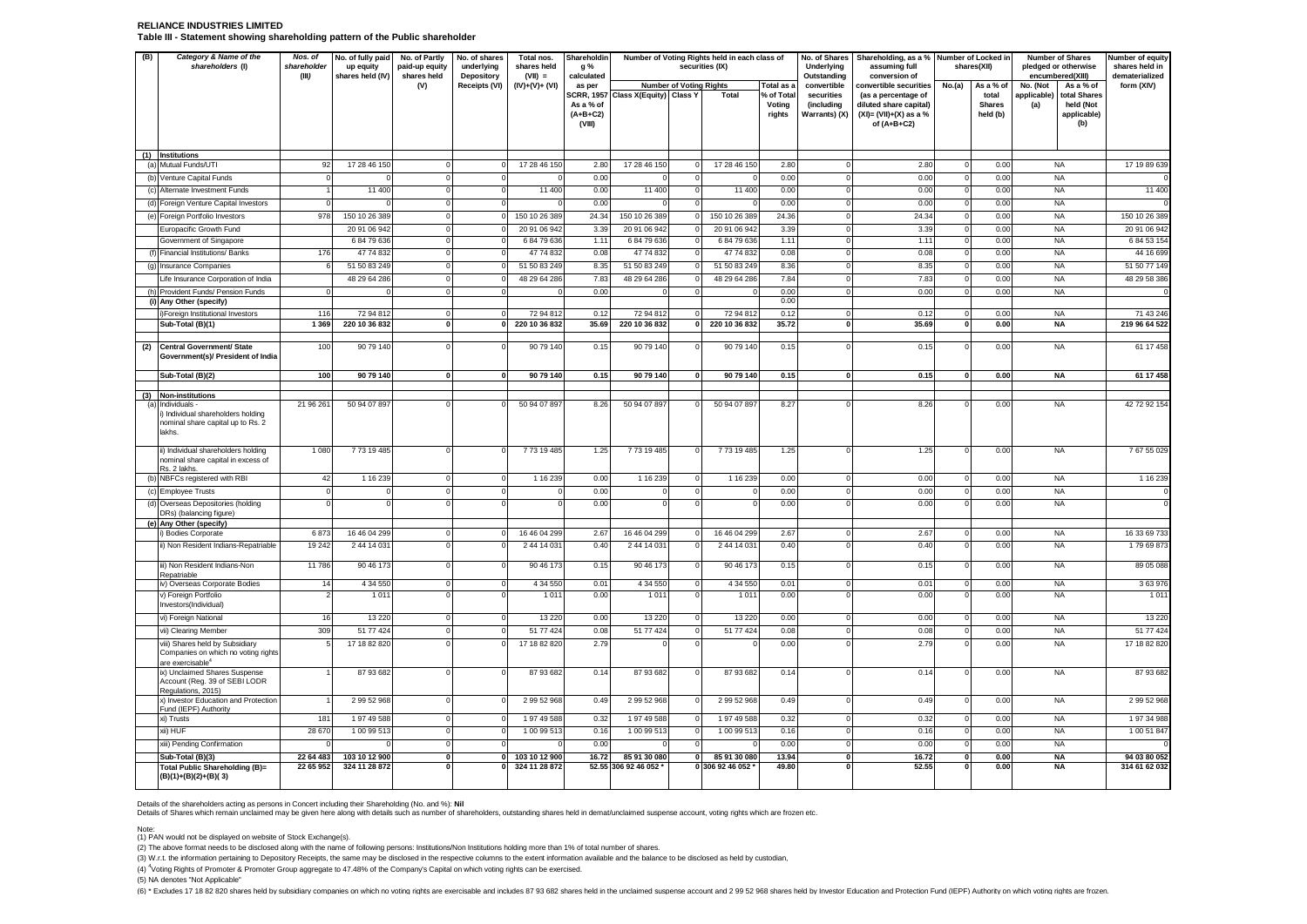### **RELIANCE INDUSTRIES LIMITED Table III - Statement showing shareholding pattern of the Public shareholder**

| (B) | Category & Name of the<br>shareholders (I)                                                             | Nos. of<br>No. of fully paid<br>No. of Partly<br>No. of shares<br>Total nos.<br>Shareholdin<br>Number of Voting Rights held in each class of<br>shareholder<br>paid-up equity<br>underlying<br>shares held<br>securities (IX)<br>up equity<br>g %<br>(III)<br>shares held (IV)<br>$(VII) =$<br>shares held<br>Depository<br>calculated |                   |                         |                               |                  |                                   | Underlying<br>Outstanding          | No. of Shares Shareholding, as a % Number of Locked in<br>assuming full<br>conversion of |                     | shares(XII)                    | <b>Number of Shares</b><br>pledged or otherwise<br>encumbered(XIII) |                                                                                             | Number of equity<br>shares held in<br>dematerialized |                                    |                        |                                                 |                     |
|-----|--------------------------------------------------------------------------------------------------------|----------------------------------------------------------------------------------------------------------------------------------------------------------------------------------------------------------------------------------------------------------------------------------------------------------------------------------------|-------------------|-------------------------|-------------------------------|------------------|-----------------------------------|------------------------------------|------------------------------------------------------------------------------------------|---------------------|--------------------------------|---------------------------------------------------------------------|---------------------------------------------------------------------------------------------|------------------------------------------------------|------------------------------------|------------------------|-------------------------------------------------|---------------------|
|     |                                                                                                        |                                                                                                                                                                                                                                                                                                                                        |                   | (V)                     | Receipts (VI)                 | $(IV)+(V)+(VI)$  | as per                            |                                    | <b>Number of Voting Rights</b>                                                           |                     | Total as                       | convertible                                                         | convertible securities                                                                      | No.(a)                                               | As a % of                          | No. (Not               | As a % of                                       | form (XIV)          |
|     |                                                                                                        |                                                                                                                                                                                                                                                                                                                                        |                   |                         |                               |                  | As a % of<br>$(A+B+C2)$<br>(VIII) | SCRR, 1957 Class X(Equity) Class Y |                                                                                          | Total               | % of Total<br>Voting<br>rights | securities<br>(including<br>Warrants) (X)                           | (as a percentage of<br>diluted share capital)<br>$(XI) = (VII)+(X)$ as a %<br>of $(A+B+C2)$ |                                                      | total<br><b>Shares</b><br>held (b) | applicable)<br>(a)     | total Shares<br>held (Not<br>applicable)<br>(b) |                     |
|     | (1) Institutions                                                                                       |                                                                                                                                                                                                                                                                                                                                        |                   |                         |                               |                  |                                   |                                    |                                                                                          |                     |                                |                                                                     |                                                                                             |                                                      |                                    |                        |                                                 |                     |
|     | (a) Mutual Funds/UTI                                                                                   | 92                                                                                                                                                                                                                                                                                                                                     | 17 28 46 150      | $\mathbf 0$             | $\mathbf 0$                   | 17 28 46 150     | 2.80                              | 17 28 46 150                       | $\mathbf 0$                                                                              | 17 28 46 150        | 2.80                           | $\mathbf 0$                                                         | 2.80                                                                                        |                                                      | 0.00                               | <b>NA</b>              |                                                 | 17 19 89 639        |
|     | (b) Venture Capital Funds                                                                              |                                                                                                                                                                                                                                                                                                                                        |                   | $\mathbf 0$             | $\mathbf 0$                   | $\sqrt{ }$       | 0.00                              | $\Omega$                           | $\mathbf 0$                                                                              |                     | 0.00                           | $\overline{0}$                                                      | 0.00                                                                                        | $\Omega$                                             | 0.00                               | <b>NA</b>              |                                                 |                     |
|     | (c) Alternate Investment Funds                                                                         |                                                                                                                                                                                                                                                                                                                                        | 11 400            | $\mathbf 0$             | $\mathbf 0$                   | 11 400           | 0.00                              | 11 400                             | $\mathbf 0$                                                                              | 11 400              | 0.00                           | 0                                                                   | 0.00                                                                                        |                                                      | 0.00                               | <b>NA</b>              |                                                 | 11 400              |
|     | (d) Foreign Venture Capital Investors                                                                  |                                                                                                                                                                                                                                                                                                                                        |                   | $\Omega$                | $\Omega$                      |                  | 0.00                              |                                    | $\Omega$                                                                                 |                     | 0.00                           | $\overline{0}$                                                      | 0.00                                                                                        |                                                      | 0.00                               | <b>NA</b>              |                                                 |                     |
|     | (e) Foreign Portfolio Investors                                                                        | 978                                                                                                                                                                                                                                                                                                                                    | 150 10 26 389     | $\mathbf 0$             | $\mathbf 0$                   | 150 10 26 389    | 24.34                             | 150 10 26 389                      | $\circ$                                                                                  | 150 10 26 389       | 24.36                          | $\overline{0}$                                                      | 24.34                                                                                       | 0                                                    | 0.00                               | <b>NA</b>              |                                                 | 150 10 26 389       |
|     | Europacific Growth Fund                                                                                |                                                                                                                                                                                                                                                                                                                                        | 20 91 06 942      | $\overline{0}$          | ō                             | 20 91 06 942     | 3.39                              | 20 91 06 942                       | ō                                                                                        | 20 91 06 942        | 3.39                           | ō                                                                   | 3.39                                                                                        | $\Omega$                                             | 0.00                               | <b>NA</b>              |                                                 | 20 91 06 942        |
|     | Government of Singapore                                                                                |                                                                                                                                                                                                                                                                                                                                        | 68479636          | $\overline{0}$          | ō                             | 68479636         | 1.11                              | 68479636                           | ō                                                                                        | 68479636            | 1.11                           | $\overline{0}$                                                      | 1.11                                                                                        | $\mathbf{0}$                                         | 0.00                               | <b>NA</b>              |                                                 | 6 84 53 15          |
|     | (f) Financial Institutions/ Banks                                                                      | 176                                                                                                                                                                                                                                                                                                                                    | 47 74 832         | $\Omega$                | $\Omega$                      | 47 74 832        | 0.08                              | 47 74 832                          | $\Omega$                                                                                 | 47 74 832           | 0.08                           | $\Omega$                                                            | 0.08                                                                                        |                                                      | 0.00                               | <b>NA</b>              |                                                 | 44 16 699           |
|     | (g) Insurance Companies                                                                                |                                                                                                                                                                                                                                                                                                                                        | 51 50 83 249      | $\circ$                 | $\mathbf 0$                   | 51 50 83 249     | 8.35                              | 51 50 83 249                       | $\mathbf 0$                                                                              | 51 50 83 249        | 8.36                           | $\circ$                                                             | 8.35                                                                                        | $\Omega$                                             | 0.00                               | <b>NA</b>              |                                                 | 51 50 77 149        |
|     | Life Insurance Corporation of India                                                                    |                                                                                                                                                                                                                                                                                                                                        | 48 29 64 286      | $\mathbf 0$<br>$\Omega$ | $\mathbf 0$<br>ō              | 48 29 64 286     | 7.83                              | 48 29 64 286                       | $\mathbf 0$<br>$\Omega$                                                                  | 48 29 64 286        | 7.84                           | $\mathbf 0$<br>$\Omega$                                             | 7.83                                                                                        |                                                      | 0.00                               | <b>NA</b>              |                                                 | 48 29 58 38         |
|     | (h) Provident Funds/ Pension Funds<br>(i) Any Other (specify)                                          |                                                                                                                                                                                                                                                                                                                                        |                   |                         |                               |                  | 0.00                              |                                    |                                                                                          |                     | 0.00<br>0.00                   |                                                                     | 0.00                                                                                        |                                                      | 0.00                               | <b>NA</b>              |                                                 |                     |
|     | Foreign Institutional Investors                                                                        | 116                                                                                                                                                                                                                                                                                                                                    | 72 94 812         | $\mathbf 0$             | $\mathbf 0$                   | 72 94 812        | 0.12                              | 72 94 812                          | $\mathbf 0$                                                                              | 72 94 812           | 0.12                           | $\mathbf 0$                                                         | 0.12                                                                                        |                                                      | 0.00                               | <b>NA</b>              |                                                 | 71 43 246           |
|     | Sub-Total (B)(1)                                                                                       | 1 3 6 9                                                                                                                                                                                                                                                                                                                                | 220 10 36 832     | $\mathbf{0}$            | $\mathbf{0}$                  | 220 10 36 832    | 35.69                             | 220 10 36 832                      | $\mathbf{0}$                                                                             | 220 10 36 832       | 35.72                          | $\mathbf{0}$                                                        | 35.69                                                                                       | $\mathbf{0}$                                         | 0.00                               | <b>NA</b>              |                                                 | 219 96 64 522       |
| (2) | Central Government/ State<br>Government(s)/ President of India                                         | 100                                                                                                                                                                                                                                                                                                                                    | 90 79 140         | $\Omega$                | $\overline{0}$                | 90 79 140        | 0.15                              | 90 79 140                          | $\overline{0}$                                                                           | 90 79 140           | 0.15                           | $\overline{0}$                                                      | 0.15                                                                                        |                                                      | 0.00                               | <b>NA</b>              |                                                 | 61 17 458           |
|     | Sub-Total (B)(2)                                                                                       | 100                                                                                                                                                                                                                                                                                                                                    | 90 79 140         | $\mathbf{0}$            | $\mathbf{0}$                  | 90 79 140        | 0.15                              | 90 79 140                          | $\mathbf{0}$                                                                             | 90 79 140           | 0.15                           | $\mathbf{o}$                                                        | 0.15                                                                                        | $\mathbf{0}$                                         | 0.00                               | <b>NA</b>              |                                                 | 61 17 458           |
|     | (3) Non-institutions                                                                                   |                                                                                                                                                                                                                                                                                                                                        |                   |                         |                               |                  |                                   |                                    |                                                                                          |                     |                                |                                                                     |                                                                                             |                                                      |                                    |                        |                                                 |                     |
| (a) | Individuals -<br>) Individual shareholders holding<br>nominal share capital up to Rs. 2<br>lakhs.      | 21 96 26                                                                                                                                                                                                                                                                                                                               | 50 94 07 897      | $\Omega$                | $\Omega$                      | 50 94 07 897     | 8.26                              | 50 94 07 897                       | $\mathbf 0$                                                                              | 50 94 07 897        | 8.27                           | 0                                                                   | 8.26                                                                                        |                                                      | 0.00                               | <b>NA</b>              |                                                 | 42 72 92 154        |
|     | ii) Individual shareholders holding<br>nominal share capital in excess of<br>Rs. 2 lakhs.              | 1 0 8 0                                                                                                                                                                                                                                                                                                                                | 773 19 485        | $\mathbf 0$             | $\mathbf 0$                   | 773 19 485       | 1.25                              | 773 19 485                         | $\mathbf 0$                                                                              | 773 19 485          | 1.25                           | $\Omega$                                                            | 1.25                                                                                        | $\Omega$                                             | 0.00                               | <b>NA</b>              |                                                 | 76755029            |
|     | (b) NBFCs registered with RBI                                                                          | 42                                                                                                                                                                                                                                                                                                                                     | 1 16 239          | $\circ$                 | $\mathbf 0$                   | 1 16 2 39        | 0.00                              | 1 16 239                           | $\mathbf 0$                                                                              | 1 16 239            | 0.00                           | $\circ$                                                             | 0.00                                                                                        | $\Omega$                                             | 0.00                               | <b>NA</b>              |                                                 | 1 16 239            |
|     | (c) Employee Trusts                                                                                    |                                                                                                                                                                                                                                                                                                                                        | $\mathcal{C}$     | $\mathbf 0$             | $\mathbf 0$                   | $\Omega$         | 0.00                              | $^{\circ}$                         | $\mathbf 0$                                                                              | $\Omega$            | 0.00                           | $\circ$                                                             | 0.00                                                                                        |                                                      | 0.00                               | <b>NA</b>              |                                                 |                     |
|     | (d) Overseas Depositories (holding<br>DRs) (balancing figure)                                          |                                                                                                                                                                                                                                                                                                                                        | C                 | $\overline{0}$          | $\overline{0}$                | $\Omega$         | 0.00                              | $\overline{0}$                     | ō                                                                                        | $\Omega$            | 0.00                           | $\overline{0}$                                                      | 0.00                                                                                        | $\Omega$                                             | 0.00                               | <b>NA</b>              |                                                 |                     |
|     | (e) Any Other (specify)<br>) Bodies Corporate                                                          | 6 873                                                                                                                                                                                                                                                                                                                                  | 16 46 04 299      | $\Omega$                | $\mathbf 0$                   | 16 46 04 299     | 2.67                              | 16 46 04 299                       | $\mathbf 0$                                                                              | 16 46 04 299        | 2.67                           | $\mathbf 0$                                                         | 2.67                                                                                        |                                                      | 0.00                               | <b>NA</b>              |                                                 | 16 33 69 733        |
|     | ii) Non Resident Indians-Repatriable                                                                   | 19 242                                                                                                                                                                                                                                                                                                                                 | 2 44 14 031       | $\Omega$                | $\overline{0}$                | 2 44 14 031      | 0.40                              | 2 44 14 031                        | $\Omega$                                                                                 | 2 44 14 031         | 0.40                           | $\overline{0}$                                                      | 0.40                                                                                        |                                                      | 0.00                               | <b>NA</b>              |                                                 | 179 69 873          |
|     | iii) Non Resident Indians-Non                                                                          | 11 786                                                                                                                                                                                                                                                                                                                                 | 90 46 173         | $\overline{0}$          | $\Omega$                      | 90 46 173        | 0.15                              | 90 46 173                          | $\mathbf 0$                                                                              | 90 46 173           | 0.15                           | $\overline{0}$                                                      | 0.15                                                                                        |                                                      | 0.00                               | <b>NA</b>              |                                                 | 89 05 088           |
|     | Repatriable                                                                                            |                                                                                                                                                                                                                                                                                                                                        |                   |                         |                               |                  |                                   |                                    |                                                                                          |                     |                                |                                                                     |                                                                                             |                                                      |                                    |                        |                                                 |                     |
|     | iv) Overseas Corporate Bodies<br>v) Foreign Portfolio                                                  | 14                                                                                                                                                                                                                                                                                                                                     | 4 34 5 50<br>1011 | 0<br>$\Omega$           | $\mathbf 0$<br>$\overline{0}$ | 4 34 550<br>1011 | 0.01<br>0.00                      | 4 34 5 50<br>1011                  | $\mathbf 0$<br>$\overline{0}$                                                            | 4 34 550<br>1 0 1 1 | 0.01<br>0.00                   | $\mathbf 0$<br>$\Omega$                                             | 0.01<br>0.00                                                                                |                                                      | 0.00<br>0.00                       | <b>NA</b><br><b>NA</b> |                                                 | 3 63 976<br>1 0 1 1 |
|     | Investors(Individual)                                                                                  |                                                                                                                                                                                                                                                                                                                                        |                   |                         |                               |                  |                                   |                                    |                                                                                          |                     |                                |                                                                     |                                                                                             |                                                      |                                    |                        |                                                 |                     |
|     | vi) Foreign National                                                                                   | 16                                                                                                                                                                                                                                                                                                                                     | 13 2 20           | $\mathbf 0$             | $\mathbf 0$                   | 13 2 20          | 0.00                              | 13 2 20                            | $\mathbf 0$                                                                              | 13 2 20             | 0.00                           | $\circ$                                                             | 0.00                                                                                        | $\Omega$                                             | 0.00                               | <b>NA</b>              |                                                 | 13 220              |
|     | vii) Clearing Member                                                                                   | 309                                                                                                                                                                                                                                                                                                                                    | 51 77 424         | $\circ$                 | $\mathbf 0$                   | 51 77 424        | 0.08                              | 51 77 424                          | $\mathbf 0$                                                                              | 51 77 424           | 0.08                           | $\circ$                                                             | 0.08                                                                                        | $\mathbf{0}$                                         | 0.00                               | <b>NA</b>              |                                                 | 51 77 424           |
|     | viii) Shares held by Subsidiary<br>Companies on which no voting rights<br>are exercisable <sup>®</sup> |                                                                                                                                                                                                                                                                                                                                        | 17 18 82 820      | $\Omega$                | $\Omega$                      | 17 18 82 820     | 2.79                              |                                    | $\mathbf 0$                                                                              |                     | 0.00                           | $\Omega$                                                            | 2.79                                                                                        |                                                      | 0.00                               | <b>NA</b>              |                                                 | 17 18 82 820        |
|     | ix) Unclaimed Shares Suspense<br>Account (Reg. 39 of SEBI LODR<br>Regulations, 2015)                   |                                                                                                                                                                                                                                                                                                                                        | 87 93 682         | $\mathbf 0$             | $\mathbf 0$                   | 87 93 682        | 0.14                              | 87 93 682                          | $\mathbf 0$                                                                              | 87 93 682           | 0.14                           | $\Omega$                                                            | 0.14                                                                                        | $\Omega$                                             | 0.00                               | <b>NA</b>              |                                                 | 87 93 682           |
|     | x) Investor Education and Protection<br>Fund (IEPF) Authority                                          |                                                                                                                                                                                                                                                                                                                                        | 2 99 52 968       | $\mathbf 0$             | $\mathbf 0$                   | 2 99 52 968      | 0.49                              | 2 99 52 968                        | $\mathbf 0$                                                                              | 2 99 52 968         | 0.49                           | $\circ$                                                             | 0.49                                                                                        |                                                      | 0.00                               | <b>NA</b>              |                                                 | 2 99 52 968         |
|     | xi) Trusts                                                                                             | 181                                                                                                                                                                                                                                                                                                                                    | 19749588          | $\Omega$                | $\mathbf 0$                   | 1 97 49 588      | 0.32                              | 19749588                           | $\mathbf 0$                                                                              | 19749588            | 0.32                           | $\circ$                                                             | 0.32                                                                                        | $\Omega$                                             | 0.00                               | <b>NA</b>              |                                                 | 1 97 34 988         |
|     | xii) HUF                                                                                               | 28 670                                                                                                                                                                                                                                                                                                                                 | 1 00 99 513       | 0                       | $\mathbf 0$                   | 1 00 99 513      | 0.16                              | 1 00 99 513                        | $\mathbf 0$                                                                              | 100 99 513          | 0.16                           | $\mathbf 0$                                                         | 0.16                                                                                        |                                                      | 0.00                               | <b>NA</b>              |                                                 | 1 00 51 847         |
|     | xiii) Pending Confirmation                                                                             |                                                                                                                                                                                                                                                                                                                                        |                   | $\mathbf 0$             | $\mathbf 0$                   |                  | 0.00                              |                                    | $\mathbf 0$                                                                              |                     | 0.00                           | $\circ$                                                             | 0.00                                                                                        |                                                      | 0.00                               | <b>NA</b>              |                                                 |                     |
|     | Sub-Total (B)(3)                                                                                       | 22 64 483                                                                                                                                                                                                                                                                                                                              | 103 10 12 900     | $\mathbf{0}$            | $\mathbf{0}$                  | 103 10 12 900    | 16.72                             | 85 91 30 080                       | 0                                                                                        | 85 91 30 080        | 13.94                          | $\mathbf{0}$                                                        | 16.72                                                                                       | 0                                                    | 0.00                               | <b>NA</b>              |                                                 | 94 03 80 052        |
|     | Total Public Shareholding (B)=<br>$(B)(1)+(B)(2)+(B)(3)$                                               | 22 65 952                                                                                                                                                                                                                                                                                                                              | 324 11 28 872     | $\mathbf 0$             | $\mathbf 0$                   | 324 11 28 872    |                                   | 52.55 306 92 46 052 *              |                                                                                          | 0 306 92 46 052     | 49.80                          | 0                                                                   | 52.55                                                                                       | $\mathbf 0$                                          | 0.00                               | <b>NA</b>              |                                                 | 314 61 62 032       |

Details of the shareholders acting as persons in Concert including their Shareholding (No. and %): **Nil**

Details of Shares which remain unclaimed may be given here along with details such as number of shareholders, outstanding shares held in demat/unclaimed suspense account, voting rights which are frozen etc.

Note: (1) PAN would not be displayed on website of Stock Exchange(s).

(2) The above format needs to be disclosed along with the name of following persons: Institutions/Non Institutions holding more than 1% of total number of shares.

(3) W.r.t. the information pertaining to Depository Receipts, the same may be disclosed in the respective columns to the extent information available and the balance to be disclosed as held by custodian,

(4) <sup>4</sup>Voting Rights of Promoter & Promoter Group aggregate to 47.48% of the Company's Capital on which voting rights can be exercised.

(5) NA denotes "Not Applicable"

(6) \* Excludes 17 18 82 820 shares held by subsidiary companies on which no voting rights are exercisable and includes 87 93 682 shares held in the unclaimed suspense account and 2 99 52 968 shares held by Investor Educati